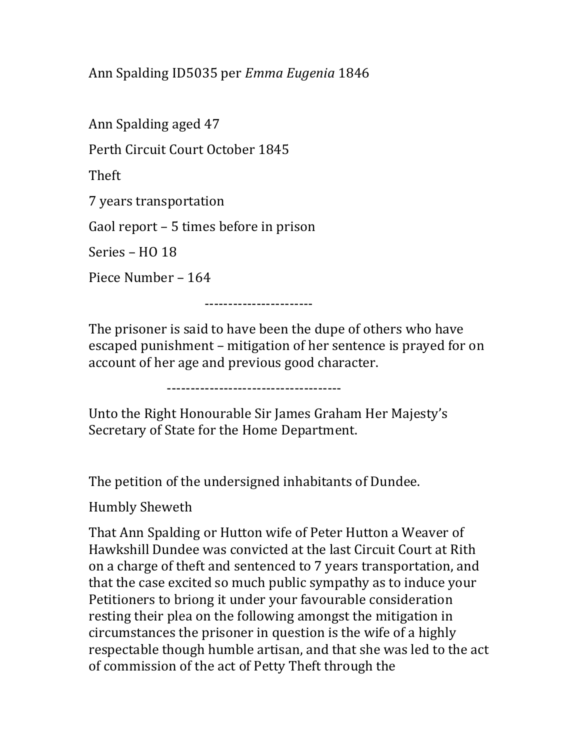Ann Spalding ID5035 per Emma Eugenia 1846

Ann Spalding aged 47 Perth Circuit Court October 1845 Theft 7 years transportation Gaol report – 5 times before in prison Series – HO 18 Piece Number – 164

-----------------------

The prisoner is said to have been the dupe of others who have escaped punishment – mitigation of her sentence is prayed for on account of her age and previous good character.

-------------------------------------

Unto the Right Honourable Sir James Graham Her Majesty's Secretary of State for the Home Department.

The petition of the undersigned inhabitants of Dundee.

Humbly Sheweth

That Ann Spalding or Hutton wife of Peter Hutton a Weaver of Hawkshill Dundee was convicted at the last Circuit Court at Rith on a charge of theft and sentenced to 7 years transportation, and that the case excited so much public sympathy as to induce your Petitioners to briong it under your favourable consideration resting their plea on the following amongst the mitigation in circumstances the prisoner in question is the wife of a highly respectable though humble artisan, and that she was led to the act of commission of the act of Petty Theft through the